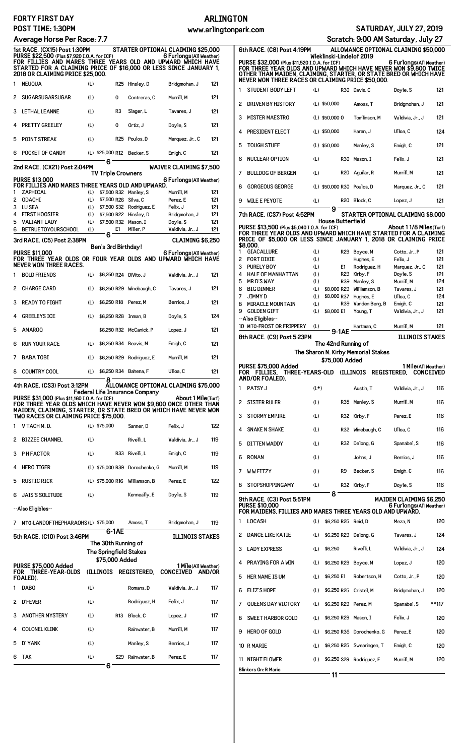## **FORTY FIRST POST TIME: 1:3**

## **Average Horse**

|                                                  | <b>FORTY FIRST DAY</b>                                                                                                                                                                                               |            |                               |                                       |                                                  | <b>ARLINGTON</b> |                                                                                                                                                                                         |            |                            |                                     |                                      |                                 |
|--------------------------------------------------|----------------------------------------------------------------------------------------------------------------------------------------------------------------------------------------------------------------------|------------|-------------------------------|---------------------------------------|--------------------------------------------------|------------------|-----------------------------------------------------------------------------------------------------------------------------------------------------------------------------------------|------------|----------------------------|-------------------------------------|--------------------------------------|---------------------------------|
| POST TIME: 1:30PM<br>Average Horse Per Race: 7.7 |                                                                                                                                                                                                                      |            |                               |                                       | SATURDAY, JULY 27, 2019<br>www.arlingtonpark.com |                  |                                                                                                                                                                                         |            |                            |                                     |                                      |                                 |
|                                                  |                                                                                                                                                                                                                      |            |                               |                                       | Scratch: 9:00 AM Saturday, July 27               |                  |                                                                                                                                                                                         |            |                            |                                     |                                      |                                 |
|                                                  | 1st RACE. (CX15) Post 1:30PM                                                                                                                                                                                         |            |                               |                                       | STARTER OPTIONAL CLAIMING \$25,000               |                  | 6th RACE. (C8) Post 4:19PM                                                                                                                                                              |            |                            |                                     | ALLOWANCE OPTIONAL CLAIMING \$50,000 |                                 |
|                                                  | PURSE \$22,500 (Plus \$7,920 I.O.A. for ICF)<br>FOR FILLIES AND MARES THREE YEARS OLD AND UPWARD WHICH HAVE<br>STARTED FOR A CLAIMING PRICE OF \$16,000 OR LESS SINCE JANUARY 1,<br>2018 OR CLAIMING PRICE \$25,000. |            |                               |                                       | 6 Furlongs (All Weather)                         |                  | PURSE \$32,000 (Plus \$11,520 I.O.A. for ICF)<br>FOR THREE YEAR OLDS AND UPWARD WHICH HAVE NEVER WON \$9,800 TWICE<br>OTHER THAN MAIDEN, CLAIMING, STARTER, OR STATE BRED OR WHICH HAVE |            | Wleklinski-Lindelof 2019   |                                     | 6 Furlongs (All Weather)             |                                 |
|                                                  | 1 NEUQUA                                                                                                                                                                                                             | (L)        |                               | R25 Hinsley, D                        | Bridgmohan, J                                    | 121              | NEVER WON THREE RACES OR CLAIMING PRICE \$50,000.                                                                                                                                       |            |                            |                                     |                                      |                                 |
|                                                  | 2 SUGARSUGARSUGAR                                                                                                                                                                                                    | (L)        | 0                             | Contreras, C                          | Murrill, M                                       | 121              | <b>STUDENT BODY LEFT</b><br>1                                                                                                                                                           | (L)        |                            | R30 Davis, C                        | Doyle, S                             | 121                             |
|                                                  |                                                                                                                                                                                                                      |            |                               |                                       |                                                  |                  | DRIVEN BY HISTORY<br>2                                                                                                                                                                  |            | (L) \$50,000               | Amoss, T                            | Bridgmohan, J                        | 121                             |
|                                                  | 3 LETHAL LEANNE                                                                                                                                                                                                      | (L)        | R3                            | Slager, L                             | Tavares, J                                       | 121              | 3<br><b>MISTER MAESTRO</b>                                                                                                                                                              |            | $(L)$ \$50,000 0           | Tomlinson, M                        | Valdivia, Jr., J                     | 121                             |
|                                                  | 4 PRETTY GREELEY                                                                                                                                                                                                     | (L)        | 0                             | Ortiz, J                              | Doyle, S                                         | 121              | PRESIDENT ELECT<br>4                                                                                                                                                                    |            | (L) \$50,000               | Haran, J                            | Ulloa, C                             | 124                             |
|                                                  | 5 POINT STREAK                                                                                                                                                                                                       | (L)        | <b>R25</b>                    | Poulos, D                             | Marquez, Jr., C                                  | 121              | 5<br><b>TOUGH STUFF</b>                                                                                                                                                                 |            | (L) \$50,000               | Manley, S                           | Emigh, C                             | 121                             |
|                                                  | 6 POCKET OF CANDY                                                                                                                                                                                                    |            | (L) \$25,000 R12 Becker, S    |                                       | Emigh, C                                         | 121              |                                                                                                                                                                                         |            |                            |                                     |                                      |                                 |
|                                                  | 2nd RACE. (CX21) Post 2:04PM                                                                                                                                                                                         |            | 6                             |                                       | <b>WAIVER CLAIMING \$7,500</b>                   |                  | <b>NUCLEAR OPTION</b><br>6                                                                                                                                                              | (L)        |                            | R30 Mason, I                        | Felix, J                             | 121                             |
|                                                  | <b>PURSE \$13,000</b>                                                                                                                                                                                                |            | <b>TV Triple Crowners</b>     |                                       | 6 Furlongs (All Weather)                         |                  | 7<br><b>BULLDOG OF BERGEN</b>                                                                                                                                                           | (L)        |                            | R20 Aquilar, R                      | Murrill, M                           | 121                             |
|                                                  | FOR FILLIES AND MARES THREE YEARS OLD AND UPWARD.<br>ZAPHICAL                                                                                                                                                        |            | (L) \$7,500 R32 Manley, S     |                                       | Murrill, M                                       | 121              | <b>GORGEOUS GEORGE</b><br>8                                                                                                                                                             |            | (L) \$50,000 R30 Poulos, D |                                     | Marquez, Jr., C                      | 121                             |
|                                                  | 2 ODACHI                                                                                                                                                                                                             | (L)        | \$7,500 R26 Silva, C          |                                       | Perez, E                                         | 121              | 9<br><b>WILE E PEYOTE</b>                                                                                                                                                               | (L)        |                            | R20 Block, C                        | Lopez, J                             | 121                             |
| 3<br>4                                           | LU SEA<br><b>FIRST HOOSIER</b>                                                                                                                                                                                       | (L)<br>(L) | \$7,500 R22 Hinsley, D        | \$7,500 S32 Rodriguez, E              | Felix, J<br>Bridgmohan, J                        | 121<br>121       | 7th RACE. (CS7) Post 4:52PM                                                                                                                                                             |            | 9                          |                                     | STARTER OPTIONAL CLAIMING \$8,000    |                                 |
| 5                                                | <b>VALIANT LADY</b>                                                                                                                                                                                                  | (L)        | \$7,500 R32 Mason, I          |                                       | Doyle, S                                         | 121              |                                                                                                                                                                                         |            | <b>House Butterfield</b>   |                                     |                                      |                                 |
| 6                                                | <b>BETRUETOYOURSCHOOL</b>                                                                                                                                                                                            | (L)        | E1<br>6                       | Miller, P                             | Valdivia, Jr., J                                 | 121              | PURSE \$13,500 (Plus \$5,040 I.O.A. for ICF)<br>FOR THREE YEAR OLDS AND UPWARD WHICH HAVE STARTED FOR A CLAIMING                                                                        |            |                            |                                     | About 11/8 Miles (Turf)              |                                 |
|                                                  | 3rd RACE. (C5) Post 2:38PM                                                                                                                                                                                           |            |                               |                                       | <b>CLAIMING \$6,250</b>                          |                  | PRICE OF \$5,000 OR LESS SINCE JANUARY 1, 2018 OR CLAIMING PRICE<br>\$8,000.                                                                                                            |            |                            |                                     |                                      |                                 |
|                                                  | <b>PURSE \$11,000</b>                                                                                                                                                                                                |            | Ben's 3rd Birthday!           |                                       | 6 Furlongs (All Weather)                         |                  | $\mathbf{1}$<br><b>GIACALLURE</b>                                                                                                                                                       | (L)        |                            | R29 Boyce, M                        | Cotto, Jr., P                        | 121                             |
|                                                  | FOR THREE YEAR OLDS OR FOUR YEAR OLDS AND UPWARD WHICH HAVE<br><b>NEVER WON THREE RACES.</b>                                                                                                                         |            |                               |                                       |                                                  |                  | 2<br><b>FORT DIXIE</b>                                                                                                                                                                  | (L)        |                            | Hughes, E                           | Felix, J                             | 121                             |
|                                                  |                                                                                                                                                                                                                      |            |                               |                                       |                                                  |                  | 3<br><b>PURELY BOY</b><br>HALF OF MANHATTAN<br>4                                                                                                                                        | (L)<br>(L) | E1<br>R29                  | Rodriguez, H<br>Kirby, F            | Marquez, Jr., C<br>Doyle, S          | 121<br>121                      |
|                                                  | 1 BOLD FRIENDS                                                                                                                                                                                                       | (L)        | \$6,250 R24 DiVito, J         |                                       | Valdivia, Jr., J                                 | 121              | 5<br><b>MRD'SWAY</b>                                                                                                                                                                    | (L)        | R39                        | Manley, S                           | Murrill, M                           | 124                             |
|                                                  | 2 CHARGE CARD                                                                                                                                                                                                        | (L)        |                               | \$6,250 R29 Winebaugh, C              | Tavares, J                                       | 121              | 6<br><b>BIG DINNER</b>                                                                                                                                                                  | (L)        | \$8,000 R29                | Williamson, B                       | Tavares, J                           | 121                             |
|                                                  | 3 READY TO FIGHT                                                                                                                                                                                                     | (L)        | \$6,250 R18 Perez, M          |                                       | Berrios, J                                       | 121              | 7<br>JIMMY D<br>8<br><b>MIRACLE MOUNTAIN</b>                                                                                                                                            | (L)<br>(L) | \$8,000 R37<br>R39         | Hughes, E<br>Vanden Berg, B         | Ulloa, C<br>Emigh, C                 | 124<br>121                      |
|                                                  | 4 GREELEYS ICE                                                                                                                                                                                                       | (L)        | \$6,250 R28 Inman, B          |                                       | Doyle, S                                         | 124              | 9<br><b>GOLDEN GIFT</b>                                                                                                                                                                 | (L)        | \$8,000 E1                 | Young, T                            | Valdivia, Jr., J                     | 121                             |
|                                                  | <b>AMAROQ</b>                                                                                                                                                                                                        |            |                               | \$6.250 R32 McCanick. P               |                                                  |                  | --Also Eligibles--<br>10 MTO-FROST OR FRIPPERY                                                                                                                                          | (L)        |                            | Hartman, C                          | Murrill, M                           | 121                             |
| 5                                                |                                                                                                                                                                                                                      |            |                               |                                       | Lopez, J                                         | 121              |                                                                                                                                                                                         |            | 9-1AE                      |                                     | <b>ILLINOIS STAKES</b>               |                                 |
|                                                  |                                                                                                                                                                                                                      |            |                               |                                       |                                                  |                  | 8th RACE. (C9) Post 5:23PM                                                                                                                                                              |            |                            |                                     |                                      |                                 |
|                                                  | 6 RUN YOUR RACE                                                                                                                                                                                                      | (L)        | \$6,250 R34 Reavis, M         |                                       | Emigh, C                                         | 121              |                                                                                                                                                                                         |            | The 42nd Running of        |                                     |                                      |                                 |
|                                                  | 7 BABA TOBI                                                                                                                                                                                                          | (L)        |                               | \$6,250 R29 Rodriguez, E              | Murrill, M                                       | 121              |                                                                                                                                                                                         |            | \$75,000 Added             | The Sharon N. Kirby Memorial Stakes |                                      |                                 |
|                                                  | 8 COUNTRY COOL                                                                                                                                                                                                       | (L)        | \$6,250 R34 Bahena, F         |                                       | Ulloa, C                                         | 121              | <b>PURSE \$75,000 Added</b><br>FOR FILLIES, THREE-YEARS-OLD (ILLINOIS REGISTERED, CONCEIVED                                                                                             |            |                            |                                     | 1 Mile(All Weather)                  |                                 |
|                                                  |                                                                                                                                                                                                                      |            | 8                             |                                       |                                                  |                  | AND/OR FOALED).                                                                                                                                                                         |            |                            |                                     |                                      |                                 |
|                                                  | 4th RACE. (CS3) Post 3:12PM                                                                                                                                                                                          |            |                               | <b>Federal Life Insurance Company</b> | ALLOWANCE OPTIONAL CLAIMING \$75,000             |                  | 1 PATSY J                                                                                                                                                                               | $(L*)$     |                            | Austin. T                           | Valdivia, Jr., J                     | 116                             |
|                                                  | PURSE \$31,000 (Plus \$11,160 I.O.A. for ICF)<br>FOR THREE YEAR OLDS WHICH HAVE NEVER WON \$9,800 ONCE OTHER THAN<br>MAIDEN, CLAIMING, STARTER, OR STATE BRED OR WHICH HAVE NEVER WON                                |            |                               |                                       | About 1 Mile(Turf)                               |                  | $\overline{c}$<br><b>SISTER RULER</b><br>3                                                                                                                                              | (L)        |                            | R35 Manley, S                       | Murrill, M<br>Perez. E               | 116                             |
|                                                  | TWO RACES OR CLAIMING PRICE \$75,000.<br>1 V TACH M.D.                                                                                                                                                               |            | (L) \$75,000                  | Sanner, D                             | Felix, J                                         | 122              | <b>STORMY EMPIRE</b>                                                                                                                                                                    | (L)        |                            | R32 Kirby, F                        |                                      | 116                             |
|                                                  | 2 BIZZEE CHANNEL                                                                                                                                                                                                     | (L)        |                               | Rivelli, L                            | Valdivia, Jr., J                                 | 119              | <b>SNAKE N SHAKE</b><br>4                                                                                                                                                               | (L)        |                            | R32 Winebaugh, C                    | Ulloa, C                             | 116                             |
|                                                  |                                                                                                                                                                                                                      |            |                               |                                       |                                                  |                  | 5<br>DITTEN WADDY                                                                                                                                                                       | (L)        |                            | R32 Delong, G                       | Spanabel, S                          | 116                             |
|                                                  | 3 PHFACTOR                                                                                                                                                                                                           | (L)        |                               | R33 Rivelli, L                        | Emigh, C                                         | 119              | 6<br><b>RONAN</b>                                                                                                                                                                       | (L)        |                            | Johns, J                            | Berrios, J                           | 116                             |
|                                                  | HERO TIGER                                                                                                                                                                                                           |            |                               | (L) \$75,000 R39 Dorochenko, G        | Murrill, M                                       | 119              | 7<br><b>WWFITZY</b>                                                                                                                                                                     | (L)        | R9                         | Becker, S                           | Emigh, C                             | 116                             |
|                                                  | 5 RUSTIC RICK                                                                                                                                                                                                        |            |                               | (L) \$75,000 R16 Williamson, B        | Perez, E                                         | 122              | <b>STOPSHOPPINGAMY</b><br>8                                                                                                                                                             | (L)        |                            | R32 Kirby, F                        | Doyle, S                             | 116                             |
|                                                  | 6 JAIS'S SOLITUDE                                                                                                                                                                                                    | (L)        |                               | Kenneally, E                          | Doyle, S                                         | 119              | 9th RACE. (C3) Post 5:51PM                                                                                                                                                              |            | 8                          |                                     | <b>MAIDEN CLAIMING \$6,250</b>       |                                 |
|                                                  | --Also Eligibles--                                                                                                                                                                                                   |            |                               |                                       |                                                  |                  | <b>PURSE \$10,000</b><br>FOR MAIDENS, FILLIES AND MARES THREE YEARS OLD AND UPWARD.                                                                                                     |            |                            |                                     | 6 Furlongs (All Weather)             |                                 |
|                                                  | 7 MTO-LANDOFTHEPHARAOHS (L) \$75,000                                                                                                                                                                                 |            |                               | Amoss, T                              | Bridgmohan, J                                    | 119              | LOCASH<br>1                                                                                                                                                                             | (L)        | \$6,250 R25 Reid, D        |                                     | Meza, N                              | 120                             |
|                                                  |                                                                                                                                                                                                                      |            | 6-1AE                         |                                       |                                                  |                  | <b>DANCE LIKE KATIE</b><br>2                                                                                                                                                            | (L)        | \$6,250 R29 Delong, G      |                                     | Tavares, J                           | 124                             |
|                                                  | 5th RACE. (C10) Post 3:46PM                                                                                                                                                                                          |            | The 30th Running of           |                                       | <b>ILLINOIS STAKES</b>                           |                  |                                                                                                                                                                                         |            |                            |                                     |                                      |                                 |
|                                                  |                                                                                                                                                                                                                      |            | <b>The Springfield Stakes</b> |                                       |                                                  |                  | <b>LADY EXPRESS</b><br>3                                                                                                                                                                | (L)        | \$6,250                    | Rivelli, L                          | Valdivia, Jr., J                     | 124                             |
|                                                  | <b>PURSE \$75,000 Added</b><br>FOR THREE-YEAR-OLDS                                                                                                                                                                   |            | \$75,000 Added                | (ILLINOIS REGISTERED,                 | 1 Mile(All Weather)<br>CONCEIVED AND/OR          |                  | PRAYING FOR A WIN                                                                                                                                                                       | (L)        | \$6,250 R29 Boyce, M       |                                     | Lopez, J                             | 120                             |
|                                                  | FOALED).                                                                                                                                                                                                             |            |                               |                                       |                                                  |                  | HER NAME IS UM<br>5                                                                                                                                                                     | (L)        | \$6,250 E1                 | Robertson, H                        | Cotto. Jr., P                        |                                 |
|                                                  | 1 DABO                                                                                                                                                                                                               | (L)        |                               | Romans, D                             | Valdivia, Jr., J                                 | 117              | <b>ELIZ'S HOPE</b><br>6                                                                                                                                                                 | (L)        | \$6,250 R25 Cristel, M     |                                     | Bridgmohan, J                        |                                 |
|                                                  | 2 D'FEVER                                                                                                                                                                                                            | (L)        |                               | Rodriguez, H                          | Felix, J                                         | 117              | 7<br><b>QUEENS DAY VICTORY</b>                                                                                                                                                          |            | (L) \$6,250 R29 Perez, M   |                                     | Spanabel, S                          | **117                           |
| 3                                                | ANOTHER MYSTERY                                                                                                                                                                                                      | (L)        |                               | R13 Block, C                          | Lopez, J                                         | 117              | 8<br><b>SWEET HARBOR GOLD</b>                                                                                                                                                           | (L)        | \$6,250 R29 Mason, I       |                                     | Felix, J                             |                                 |
|                                                  | <b>COLONEL KLINK</b>                                                                                                                                                                                                 | (L)        |                               | Rainwater, B                          | Murrill, M                                       | 117              | <b>HERO OF GOLD</b><br>9                                                                                                                                                                | (L)        |                            | \$6,250 R36 Dorochenko, G           | Perez. E                             |                                 |
|                                                  | 5 D'YANK                                                                                                                                                                                                             | (L)        |                               | Manley, S                             | Berrios, J                                       | 117              | 10 RMARIE                                                                                                                                                                               | (L)        |                            | \$6,250 R25 Swearingen, T           | Emigh, C                             | 120<br>120<br>120<br>120<br>120 |
|                                                  | 6 TAK                                                                                                                                                                                                                | (L)        |                               | S29 Rainwater, B                      | Perez. E                                         | 117              |                                                                                                                                                                                         |            |                            |                                     | Murrill, M                           |                                 |
|                                                  |                                                                                                                                                                                                                      |            | 6                             |                                       |                                                  |                  | 11 NIGHT FLOWER<br>Blinkers On: R Marie                                                                                                                                                 |            | $11 -$                     | (L) \$6,250 S29 Rodriguez, E        |                                      | 120                             |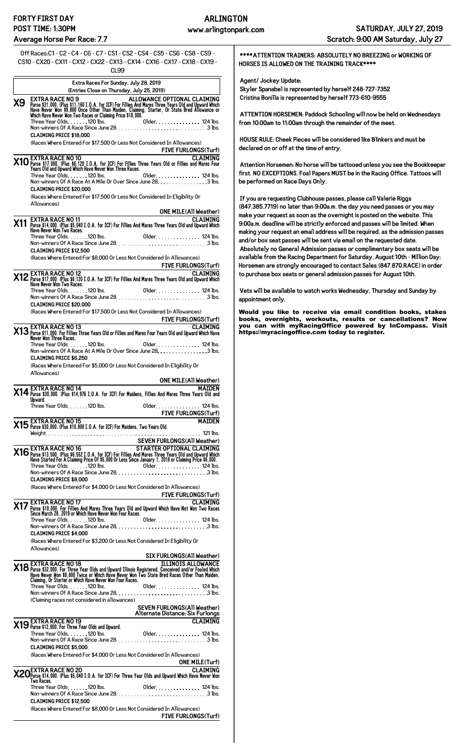|     | 0ff Races:C1 - C2 - C4 - C6 - C7 - CS1 - CS2 - CS4 - CS5 - CS6 - CS8 - CS9 -<br>CS10 - CX20 - CX11 - CX12 - CX22 - CX13 - CX14 - CX16 - CX17 - CX18 - CX19 -<br>CL <sub>99</sub>                                                                                                                                                              |
|-----|-----------------------------------------------------------------------------------------------------------------------------------------------------------------------------------------------------------------------------------------------------------------------------------------------------------------------------------------------|
|     | Extra Races For Sunday, July 28, 2019                                                                                                                                                                                                                                                                                                         |
| Х9  | (Entries Close on Thursday, July 25, 2019)<br>ALLOWANCE OPTIONAL CLAIMING<br><b>EXTRA RACE NO 9</b><br>EXAIN COLORED \$11,160 I.O.A. for ICF) For Fillies And Mares Three Years Old and Upward Which<br>Have Never Won \$9,800 Once Other Than Maiden, Claiming, Starter, Or State Bred Allowance or<br>Which Have Never Won Two Races or Cla |
|     | <b>CLAIMING PRICE \$18.000</b>                                                                                                                                                                                                                                                                                                                |
|     | (Races Where Entered For \$17,500 Or Less Not Considered In Allowances)<br><b>FIVE FURLONGS(Turf)</b>                                                                                                                                                                                                                                         |
|     | EXTRA RACE NO 10<br><b>CLAIMING</b><br>X10 Purse \$17,000. (Plus \$6,120 I.O.A. for ICF) For Fillies Three Years Old or Fillies and Mares Four<br>Years Old and Upward Which Have Never Won Three Races.                                                                                                                                      |
|     | Three Year Olds. 120 lbs.<br>Older. 124 lbs.<br>Non-winners Of A Race At A Mile Or Over Since June 28. 3 lbs.<br><b>CLAIMING PRICE \$20,000</b>                                                                                                                                                                                               |
|     | (Races Where Entered For \$17,500 Or Less Not Considered In Eligibility Or<br>Allowances)                                                                                                                                                                                                                                                     |
|     |                                                                                                                                                                                                                                                                                                                                               |
| X11 | <b>EXTRA RACE NO 11</b><br>Purse \$14,000. (Plus \$5,040 I.O.A. for ICF) For Fillies And Mares Three Years Old and Upward Which<br>Have New Yor Two Races.<br>Have New Yor Two Races.<br>Older. 124 lbs.                                                                                                                                      |
|     | <b>CLAIMING PRICE \$12.500</b>                                                                                                                                                                                                                                                                                                                |
|     | (Races Where Entered For \$8.000 Or Less Not Considered In Allowances)<br>FIVE FURLONGS(Turf)<br>2 Purse \$17,000. (Plus \$6,120 I.O.A. for ICF) For Fillies And Mares Three Years Old and Upward Which<br>There Wears Mon Two Races.<br>There is the Races.                                                                                  |
|     |                                                                                                                                                                                                                                                                                                                                               |
|     |                                                                                                                                                                                                                                                                                                                                               |
|     | <b>CLAIMING PRICE \$20.000</b><br>(Races Where Entered For \$17,500 Or Less Not Considered In Allowances)                                                                                                                                                                                                                                     |
|     | FIVE FURLONGS(Turf)<br>CLAIMING & EXTRA RACE NO 13<br>20 Marse \$11,000. For Fillies Three Years Old or Fillies and Mares Four Years Old and Upward Which Have                                                                                                                                                                                |
|     | Never Won Three Races.<br>Three Year Olds. 120 lbs.<br>Older. 124 lbs.                                                                                                                                                                                                                                                                        |
|     | Non-winners Of A Race At A Mile Or Over Since June 28. 3 lbs.<br><b>CLAIMING PRICE \$6.250</b>                                                                                                                                                                                                                                                |
|     | (Races Where Entered For \$5,000 Or Less Not Considered In Eligibility Or<br>Allowances)                                                                                                                                                                                                                                                      |
|     | ONE MILE(All Weather)<br>X14 Purse \$30,000. (Plus \$14,976 I.O.A. for ICF) For Maidens, Fillies And Mares Three Years Old and<br>Inward Universed Solid and                                                                                                                                                                                  |
|     | Upward.                                                                                                                                                                                                                                                                                                                                       |
|     |                                                                                                                                                                                                                                                                                                                                               |
|     |                                                                                                                                                                                                                                                                                                                                               |
|     | SEVEN FURLONGS(AII Weather)<br>EXTRA RACE NO 16 STARTER OPTIONAL CLAIMING<br>X16 EX1 IKA KAUE INU IO<br>Have Started For A Claiming Price 0f \$5,000 Or Less Since January 1, 2018 or Claiming Price \$8,000.<br>Have Started For A Claiming Price 0f \$5,000 Or Less Since January 1, 2018 or Claiming Price \$8,000                         |
|     | <b>CLAIMING PRICE \$8.000</b><br>(Races Where Entered For \$4,000 Or Less Not Considered In Allowances)                                                                                                                                                                                                                                       |
|     | <b>FIVE FURLONGS(Turf)</b><br><b>X17</b> Purse \$10,000. For Fillies And Mares Three Years Old and Upward Which Have Not Won Two Races<br>Since March 28, 2019 or Which Have Never Won Four Races.<br>Three Year Olds 1200 lbs 1200 lbs                                                                                                       |
|     |                                                                                                                                                                                                                                                                                                                                               |
|     | <b>CLAIMING PRICE \$4.000</b><br>(Races Where Entered For \$3,200 Or Less Not Considered In Eligibility Or                                                                                                                                                                                                                                    |
|     |                                                                                                                                                                                                                                                                                                                                               |
|     | <b>EXTRA RACE NO 18</b><br><b>SIX FURLONGS(All Weather)</b>                                                                                                                                                                                                                                                                                   |
|     | X18 Purse \$32,000. For Three Year Olds and Upward Illinois Registered, Conceived and/or Foaled Which<br>Have Never Won \$9,800 Twice or Which Have Never Won Two State Bred Races Other Than Maiden,<br>Claiming, Or Starter or Which                                                                                                        |
|     | (Claiming races not considered in allowances)                                                                                                                                                                                                                                                                                                 |
|     |                                                                                                                                                                                                                                                                                                                                               |
|     |                                                                                                                                                                                                                                                                                                                                               |
|     | <b>CLAIMING PRICE \$5,000</b>                                                                                                                                                                                                                                                                                                                 |
|     | (Races Where Entered For \$4,000 Or Less Not Considered In Allowances)<br><b>ONE MILE (Turf)</b><br><b>EXTRA RACE NO 20</b><br><b>CLATMING</b>                                                                                                                                                                                                |
|     | X20 Purse \$14,000. (Plus \$5,040 I.O.A. for ICF) For Three Year Olds and Upward Which Have Never Won<br>Two Races.                                                                                                                                                                                                                           |
|     | <b>CLAIMING PRICE \$12.500</b>                                                                                                                                                                                                                                                                                                                |
|     | (Races Where Entered For \$8,000 Or Less Not Considered In Allowances)<br><b>FIVE FURLONGS(Turf)</b>                                                                                                                                                                                                                                          |
|     |                                                                                                                                                                                                                                                                                                                                               |

**\*\*\*\*ATTENTION TRAINERS: ABSOLUTELY NO BREEZING or WORKING OF HORSES IS ALLOWED ON THE TRAINING TRACK\*\*\*\***

**Agent/ Jockey Update:**

**Skyler Spanabel is represented by herself 248-727-7352 Cristina Bonilla is represented by herself 773-610-9555**

**ATTENTION HORSEMEN: Paddock Schooling will now be held on Wednesdays from 10:00am to 11:00am through the remainder of the meet.**

**HOUSE RULE: Cheek Pieces will be considered like Blinkers and must be declared on or off at the time of entry.**

**Attention Horsemen: No horse will be tattooed unless you see the Bookkeeper first. NO EXCEPTIONS. Foal Papers MUST be in the Racing Office. Tattoos will be performed on Race Days Only.**

**If you are requesting Clubhouse passes, please call Valerie Riggs (847.385.7719) no later than 9:00a.m. the day you need passes or you may make your request as soon as the overnight is posted on the website. This 9:00a.m. deadline will be strictly enforced and passes will be limited. When making your request an email address will be required, as the admission passes and/or box seat passes will be sent via email on the requested date. Absolutely no General Admission passes or complimentary box seats will be available from the Racing Department for Saturday, August 10th - Million Day; Horsemen are strongly encouraged to contact Sales (847.870.RACE) in order to purchase box seats or general admission passes for August 10th.**

**Vets will be available to watch works Wednesday, Thursday and Sunday by appointment only.**

Would you like to receive via email condition books, stakes books, overnights, workouts, results or cancellations? Now you can with myRacingOffice powered by InCompass. Visit <https://myracingoffice.com> today to register.